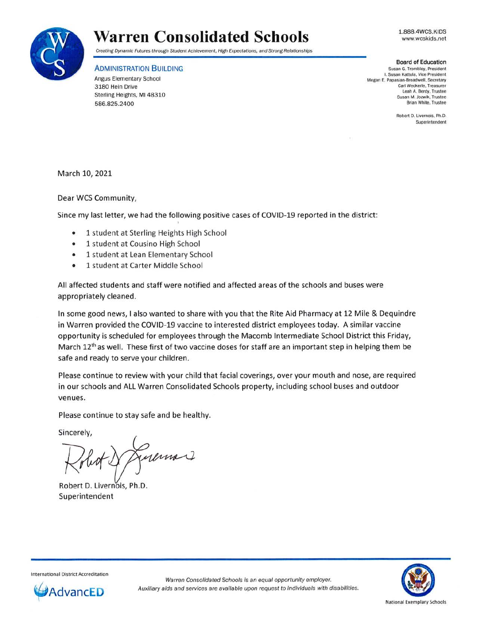1.888.4WCS.KIDS www.wcskids.net



## **Warren Consolidated Schools**

Creating Dynamic Futures through Student Achievement, High Expectations, and Strong Relationships

ADMINISTRATION BUILDING

Angus Elementary School 3180 Hein Drive Sterling Heights, **Ml** 48310 586.825.2400

**Board of Education**  Susan G. Trombley, President I. Susan Kattula, Vice President Megan E. Papasian-Broadwell, Secretary Carl Weckerle. Treasurer Leah A. Berdy. Trustee Susan M. Jozwik, Trustee Brian White, Trustee

> Robert D. Livernois, Ph.D. Superintendent

March 10, 2021

Dear WCS Community,

Since my last letter, we had the following positive cases of COVID-19 reported in the district:

- 1 student at Sterling Heights High School
- 1 student at Cousino High School
- 1 student at Lean Elementary School
- 1 student at Carter Middle School

All affected students and staff were notified and affected areas of the schools and buses were appropriately cleaned.

In some good news, I also wanted to share with you that the Rite Aid Pharmacy at 12 Mile & Dequindre in Warren provided the COVID-19 vaccine to interested district employees today. A similar vaccine opportunity is scheduled for employees through the Macomb Intermediate School District this Friday, March 12<sup>th</sup> as well. These first of two vaccine doses for staff are an important step in helping them be safe and ready to serve your children.

Please continue to review with your child that facial coverings, over your mouth and nose, are required in our schools and ALL Warren Consolidated Schools property, including school buses and outdoor venues.

Please continue to stay safe and be healthy.

Sincerely,

Lumon

Robert D. Livernois, Ph.D. Superintendent



International District Accreditation